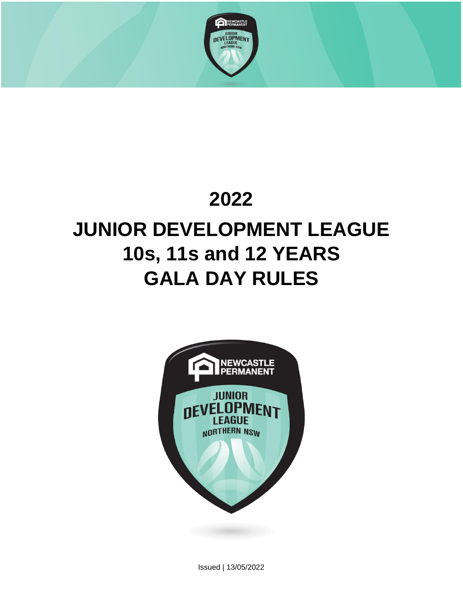

# **2022 JUNIOR DEVELOPMENT LEAGUE 10s, 11s and 12 YEARS GALA DAY RULES**



Issued | 13/05/2022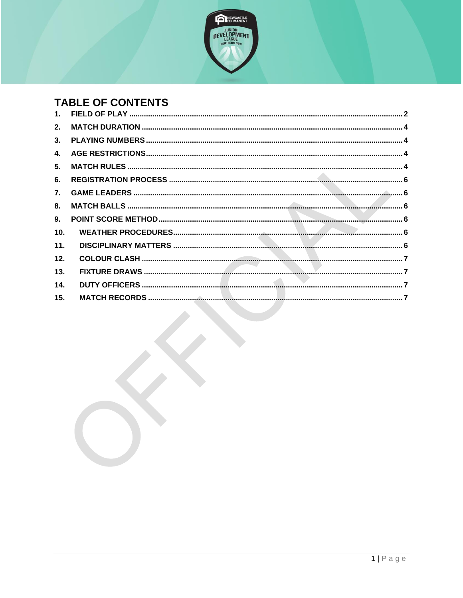

# **TABLE OF CONTENTS**

| 1.              |  |
|-----------------|--|
| 2.              |  |
| 3.              |  |
| 4.              |  |
| 5.              |  |
| 6.              |  |
| 7.              |  |
| 8.              |  |
| 9.              |  |
| 10 <sub>1</sub> |  |
| 11.             |  |
| 12.             |  |
| 13.             |  |
| 14.             |  |
| 15.             |  |
|                 |  |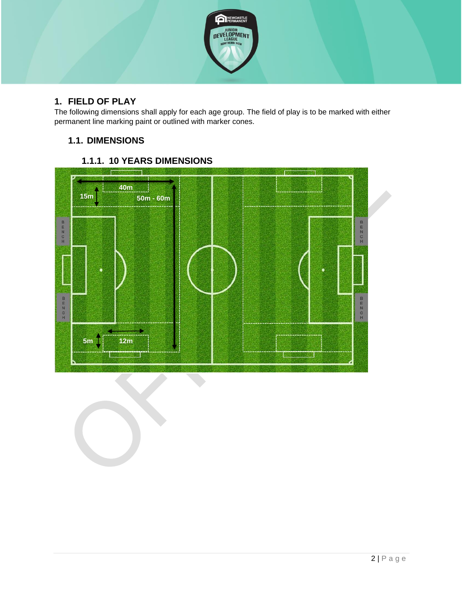

# <span id="page-2-0"></span>**1. FIELD OF PLAY**

The following dimensions shall apply for each age group. The field of play is to be marked with either permanent line marking paint or outlined with marker cones.

# **1.1. DIMENSIONS**



# **1.1.1. 10 YEARS DIMENSIONS**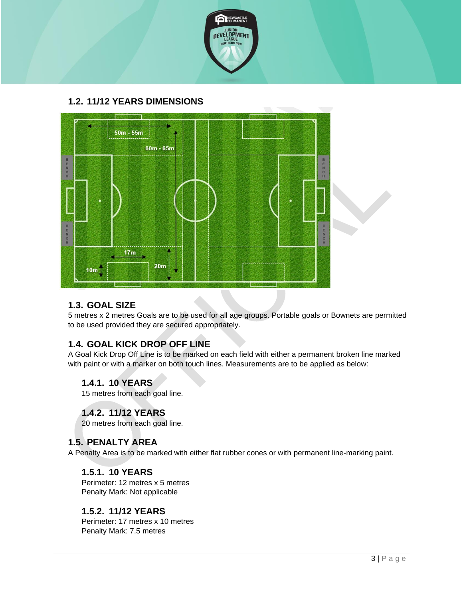

# **1.2. 11/12 YEARS DIMENSIONS**



#### **1.3. GOAL SIZE**

5 metres x 2 metres Goals are to be used for all age groups. Portable goals or Bownets are permitted to be used provided they are secured appropriately.

# **1.4. GOAL KICK DROP OFF LINE**

A Goal Kick Drop Off Line is to be marked on each field with either a permanent broken line marked with paint or with a marker on both touch lines. Measurements are to be applied as below:

#### **1.4.1. 10 YEARS**

15 metres from each goal line.

#### **1.4.2. 11/12 YEARS**

20 metres from each goal line.

#### **1.5. PENALTY AREA**

A Penalty Area is to be marked with either flat rubber cones or with permanent line-marking paint.

#### **1.5.1. 10 YEARS**

Perimeter: 12 metres x 5 metres Penalty Mark: Not applicable

#### **1.5.2. 11/12 YEARS**

Perimeter: 17 metres x 10 metres Penalty Mark: 7.5 metres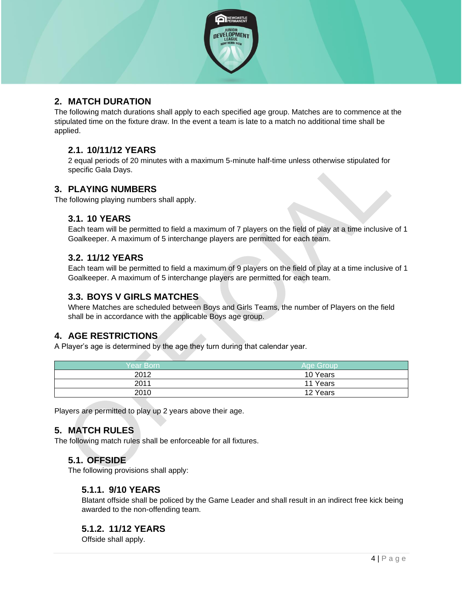

# <span id="page-4-0"></span>**2. MATCH DURATION**

The following match durations shall apply to each specified age group. Matches are to commence at the stipulated time on the fixture draw. In the event a team is late to a match no additional time shall be applied.

#### **2.1. 10/11/12 YEARS**

2 equal periods of 20 minutes with a maximum 5-minute half-time unless otherwise stipulated for specific Gala Days.

#### <span id="page-4-1"></span>**3. PLAYING NUMBERS**

The following playing numbers shall apply.

#### **3.1. 10 YEARS**

Each team will be permitted to field a maximum of 7 players on the field of play at a time inclusive of 1 Goalkeeper. A maximum of 5 interchange players are permitted for each team.

#### **3.2. 11/12 YEARS**

Each team will be permitted to field a maximum of 9 players on the field of play at a time inclusive of 1 Goalkeeper. A maximum of 5 interchange players are permitted for each team.

#### **3.3. BOYS V GIRLS MATCHES**

Where Matches are scheduled between Boys and Girls Teams, the number of Players on the field shall be in accordance with the applicable Boys age group.

#### <span id="page-4-2"></span>**4. AGE RESTRICTIONS**

A Player's age is determined by the age they turn during that calendar year.

| Year Born' | Age Group |
|------------|-----------|
| 2012       | 10 Years  |
| 2011       | 11 Years  |
| 2010       | 12 Years  |

<span id="page-4-3"></span>Players are permitted to play up 2 years above their age.

#### **5. MATCH RULES**

The following match rules shall be enforceable for all fixtures.

#### **5.1. OFFSIDE**

The following provisions shall apply:

#### **5.1.1. 9/10 YEARS**

Blatant offside shall be policed by the Game Leader and shall result in an indirect free kick being awarded to the non-offending team.

#### **5.1.2. 11/12 YEARS**

Offside shall apply.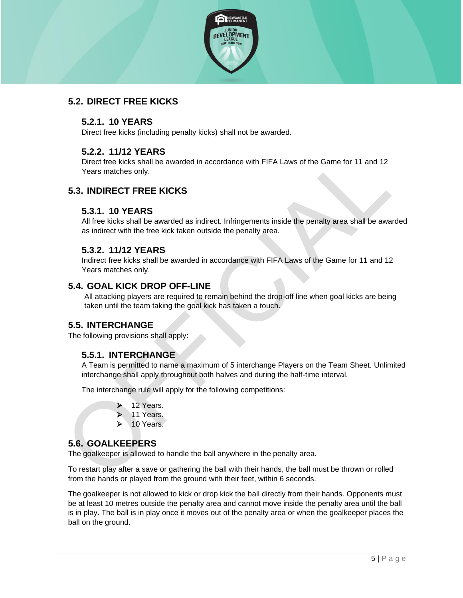

# **5.2. DIRECT FREE KICKS**

#### **5.2.1. 10 YEARS**

Direct free kicks (including penalty kicks) shall not be awarded.

## **5.2.2. 11/12 YEARS**

Direct free kicks shall be awarded in accordance with FIFA Laws of the Game for 11 and 12 Years matches only.

# **5.3. INDIRECT FREE KICKS**

#### **5.3.1. 10 YEARS**

All free kicks shall be awarded as indirect. Infringements inside the penalty area shall be awarded as indirect with the free kick taken outside the penalty area.

## **5.3.2. 11/12 YEARS**

Indirect free kicks shall be awarded in accordance with FIFA Laws of the Game for 11 and 12 Years matches only.

#### **5.4. GOAL KICK DROP OFF-LINE**

All attacking players are required to remain behind the drop-off line when goal kicks are being taken until the team taking the goal kick has taken a touch.

#### **5.5. INTERCHANGE**

The following provisions shall apply:

#### **5.5.1. INTERCHANGE**

A Team is permitted to name a maximum of 5 interchange Players on the Team Sheet. Unlimited interchange shall apply throughout both halves and during the half-time interval.

The interchange rule will apply for the following competitions:

- ➢ 12 Years.
- 11 Years.
- 10 Years.

#### **5.6. GOALKEEPERS**

The goalkeeper is allowed to handle the ball anywhere in the penalty area.

To restart play after a save or gathering the ball with their hands, the ball must be thrown or rolled from the hands or played from the ground with their feet, within 6 seconds.

The goalkeeper is not allowed to kick or drop kick the ball directly from their hands. Opponents must be at least 10 metres outside the penalty area and cannot move inside the penalty area until the ball is in play. The ball is in play once it moves out of the penalty area or when the goalkeeper places the ball on the ground.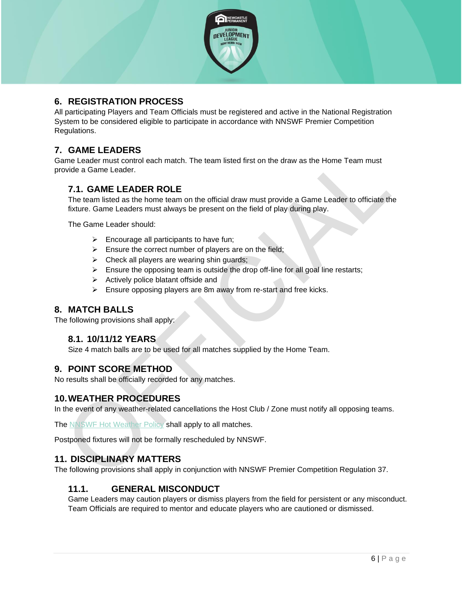

## <span id="page-6-0"></span>**6. REGISTRATION PROCESS**

All participating Players and Team Officials must be registered and active in the National Registration System to be considered eligible to participate in accordance with NNSWF Premier Competition Regulations.

# <span id="page-6-1"></span>**7. GAME LEADERS**

Game Leader must control each match. The team listed first on the draw as the Home Team must provide a Game Leader.

#### **7.1. GAME LEADER ROLE**

The team listed as the home team on the official draw must provide a Game Leader to officiate the fixture. Game Leaders must always be present on the field of play during play.

The Game Leader should:

- $\triangleright$  Encourage all participants to have fun;
- $\triangleright$  Ensure the correct number of players are on the field;
- $\triangleright$  Check all players are wearing shin guards;
- ➢ Ensure the opposing team is outside the drop off-line for all goal line restarts;
- ➢ Actively police blatant offside and
- ➢ Ensure opposing players are 8m away from re-start and free kicks.

#### <span id="page-6-2"></span>**8. MATCH BALLS**

The following provisions shall apply:

#### **8.1. 10/11/12 YEARS**

Size 4 match balls are to be used for all matches supplied by the Home Team.

#### <span id="page-6-3"></span>**9. POINT SCORE METHOD**

No results shall be officially recorded for any matches.

#### <span id="page-6-4"></span>**10.WEATHER PROCEDURES**

In the event of any weather-related cancellations the Host Club / Zone must notify all opposing teams.

The [NNSWF Hot Weather Policy](http://northernnswfootball.com.au/about-us/hot-weather-policy/) shall apply to all matches.

Postponed fixtures will not be formally rescheduled by NNSWF.

#### <span id="page-6-5"></span>**11. DISCIPLINARY MATTERS**

The following provisions shall apply in conjunction with NNSWF Premier Competition Regulation 37.

#### **11.1. GENERAL MISCONDUCT**

Game Leaders may caution players or dismiss players from the field for persistent or any misconduct. Team Officials are required to mentor and educate players who are cautioned or dismissed.